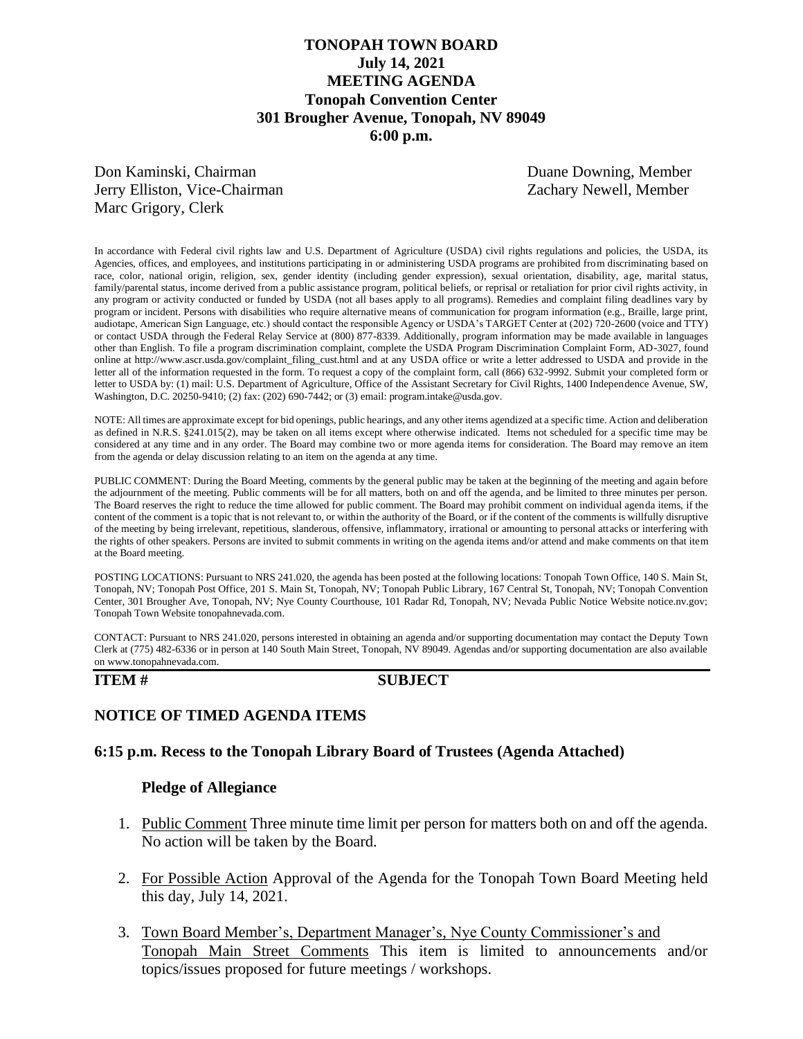# **TONOPAH TOWN BOARD July 14, 2021 MEETING AGENDA Tonopah Convention Center 301 Brougher Avenue, Tonopah, NV 89049 6:00 p.m.**

Don Kaminski, Chairman Duane Downing, Member Jerry Elliston, Vice-Chairman Zachary Newell, Member Marc Grigory, Clerk

In accordance with Federal civil rights law and U.S. Department of Agriculture (USDA) civil rights regulations and policies, the USDA, its Agencies, offices, and employees, and institutions participating in or administering USDA programs are prohibited from discriminating based on race, color, national origin, religion, sex, gender identity (including gender expression), sexual orientation, disability, age, marital status, family/parental status, income derived from a public assistance program, political beliefs, or reprisal or retaliation for prior civil rights activity, in any program or activity conducted or funded by USDA (not all bases apply to all programs). Remedies and complaint filing deadlines vary by program or incident. Persons with disabilities who require alternative means of communication for program information (e.g., Braille, large print, audiotape, American Sign Language, etc.) should contact the responsible Agency or USDA's TARGET Center at (202) 720-2600 (voice and TTY) or contact USDA through the Federal Relay Service at (800) 877-8339. Additionally, program information may be made available in languages other than English. To file a program discrimination complaint, complete the USDA Program Discrimination Complaint Form, AD-3027, found online at http://www.ascr.usda.gov/complaint\_filing\_cust.html and at any USDA office or write a letter addressed to USDA and provide in the letter all of the information requested in the form. To request a copy of the complaint form, call (866) 632-9992. Submit your completed form or letter to USDA by: (1) mail: U.S. Department of Agriculture, Office of the Assistant Secretary for Civil Rights, 1400 Independence Avenue, SW, Washington, D.C. 20250-9410; (2) fax: (202) 690-7442; or (3) email: program.intake@usda.gov.

NOTE: All times are approximate except for bid openings, public hearings, and any other items agendized at a specific time. Action and deliberation as defined in N.R.S. §241.015(2), may be taken on all items except where otherwise indicated. Items not scheduled for a specific time may be considered at any time and in any order. The Board may combine two or more agenda items for consideration. The Board may remove an item from the agenda or delay discussion relating to an item on the agenda at any time.

PUBLIC COMMENT: During the Board Meeting, comments by the general public may be taken at the beginning of the meeting and again before the adjournment of the meeting. Public comments will be for all matters, both on and off the agenda, and be limited to three minutes per person. The Board reserves the right to reduce the time allowed for public comment. The Board may prohibit comment on individual agenda items, if the content of the comment is a topic that is not relevant to, or within the authority of the Board, or if the content of the comments is willfully disruptive of the meeting by being irrelevant, repetitious, slanderous, offensive, inflammatory, irrational or amounting to personal attacks or interfering with the rights of other speakers. Persons are invited to submit comments in writing on the agenda items and/or attend and make comments on that item at the Board meeting.

POSTING LOCATIONS: Pursuant to NRS 241.020, the agenda has been posted at the following locations: Tonopah Town Office, 140 S. Main St, Tonopah, NV; Tonopah Post Office, 201 S. Main St, Tonopah, NV; Tonopah Public Library, 167 Central St, Tonopah, NV; Tonopah Convention Center, 301 Brougher Ave, Tonopah, NV; Nye County Courthouse, 101 Radar Rd, Tonopah, NV; Nevada Public Notice Website notice.nv.gov; Tonopah Town Website tonopahnevada.com.

CONTACT: Pursuant to NRS 241.020, persons interested in obtaining an agenda and/or supporting documentation may contact the Deputy Town Clerk at (775) 482-6336 or in person at 140 South Main Street, Tonopah, NV 89049. Agendas and/or supporting documentation are also available on www.tonopahnevada.com.

### **ITEM # SUBJECT**

## **NOTICE OF TIMED AGENDA ITEMS**

### **6:15 p.m. Recess to the Tonopah Library Board of Trustees (Agenda Attached)**

### **Pledge of Allegiance**

- 1. Public Comment Three minute time limit per person for matters both on and off the agenda. No action will be taken by the Board.
- 2. For Possible Action Approval of the Agenda for the Tonopah Town Board Meeting held this day, July 14, 2021.
- 3. Town Board Member's, Department Manager's, Nye County Commissioner's and Tonopah Main Street Comments This item is limited to announcements and/or topics/issues proposed for future meetings / workshops.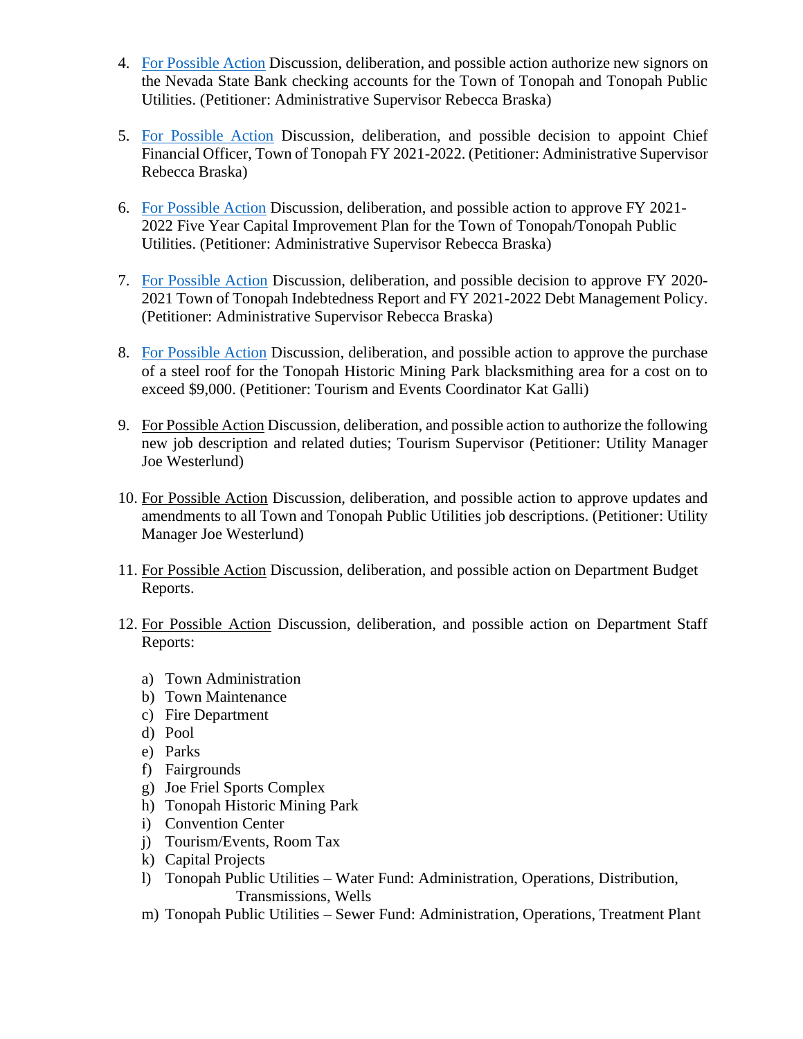- 4. [For Possible Action](https://www.tonopahnevada.com/agendas/backup-2021/7-14-2021-item-4.pdf) Discussion, deliberation, and possible action authorize new signors on the Nevada State Bank checking accounts for the Town of Tonopah and Tonopah Public Utilities. (Petitioner: Administrative Supervisor Rebecca Braska)
- 5. [For Possible Action](https://www.tonopahnevada.com/agendas/backup-2021/7-14-2021-item-5.pdf) Discussion, deliberation, and possible decision to appoint Chief Financial Officer, Town of Tonopah FY 2021-2022. (Petitioner: Administrative Supervisor Rebecca Braska)
- 6. [For Possible Action](https://www.tonopahnevada.com/agendas/backup-2021/7-14-2021-item-6.pdf) Discussion, deliberation, and possible action to approve FY 2021-2022 Five Year Capital Improvement Plan for the Town of Tonopah/Tonopah Public Utilities. (Petitioner: Administrative Supervisor Rebecca Braska)
- 7. [For Possible Action](https://www.tonopahnevada.com/agendas/backup-2021/7-14-2021-item-7.pdf) Discussion, deliberation, and possible decision to approve FY 2020- 2021 Town of Tonopah Indebtedness Report and FY 2021-2022 Debt Management Policy. (Petitioner: Administrative Supervisor Rebecca Braska)
- 8. [For Possible Action](https://www.tonopahnevada.com/agendas/backup-2021/7-14-2021-item-8.pdf) Discussion, deliberation, and possible action to approve the purchase of a steel roof for the Tonopah Historic Mining Park blacksmithing area for a cost on to exceed \$9,000. (Petitioner: Tourism and Events Coordinator Kat Galli)
- 9. For Possible Action Discussion, deliberation, and possible action to authorize the following new job description and related duties; Tourism Supervisor (Petitioner: Utility Manager Joe Westerlund)
- 10. For Possible Action Discussion, deliberation, and possible action to approve updates and amendments to all Town and Tonopah Public Utilities job descriptions. (Petitioner: Utility Manager Joe Westerlund)
- 11. For Possible Action Discussion, deliberation, and possible action on Department Budget Reports.
- 12. For Possible Action Discussion, deliberation, and possible action on Department Staff Reports:
	- a) Town Administration
	- b) Town Maintenance
	- c) Fire Department
	- d) Pool
	- e) Parks
	- f) Fairgrounds
	- g) Joe Friel Sports Complex
	- h) Tonopah Historic Mining Park
	- i) Convention Center
	- j) Tourism/Events, Room Tax
	- k) Capital Projects
	- l) Tonopah Public Utilities Water Fund: Administration, Operations, Distribution, Transmissions, Wells
	- m) Tonopah Public Utilities Sewer Fund: Administration, Operations, Treatment Plant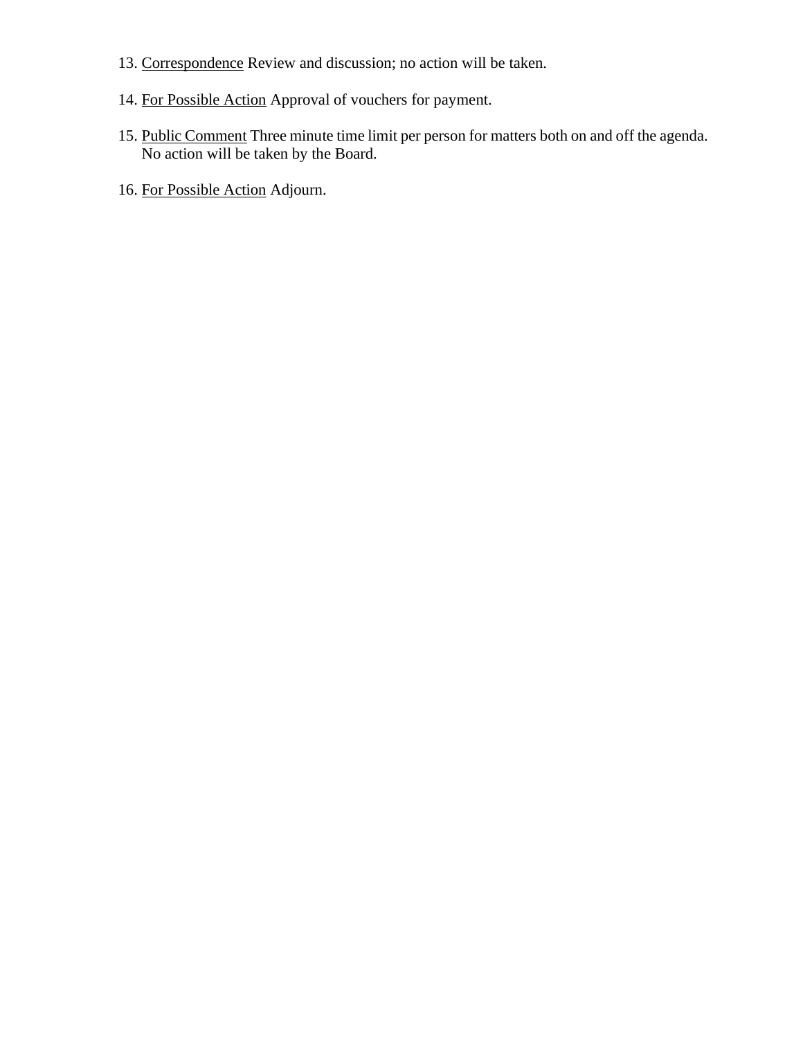- 13. Correspondence Review and discussion; no action will be taken.
- 14. For Possible Action Approval of vouchers for payment.
- 15. Public Comment Three minute time limit per person for matters both on and off the agenda. No action will be taken by the Board.
- 16. For Possible Action Adjourn.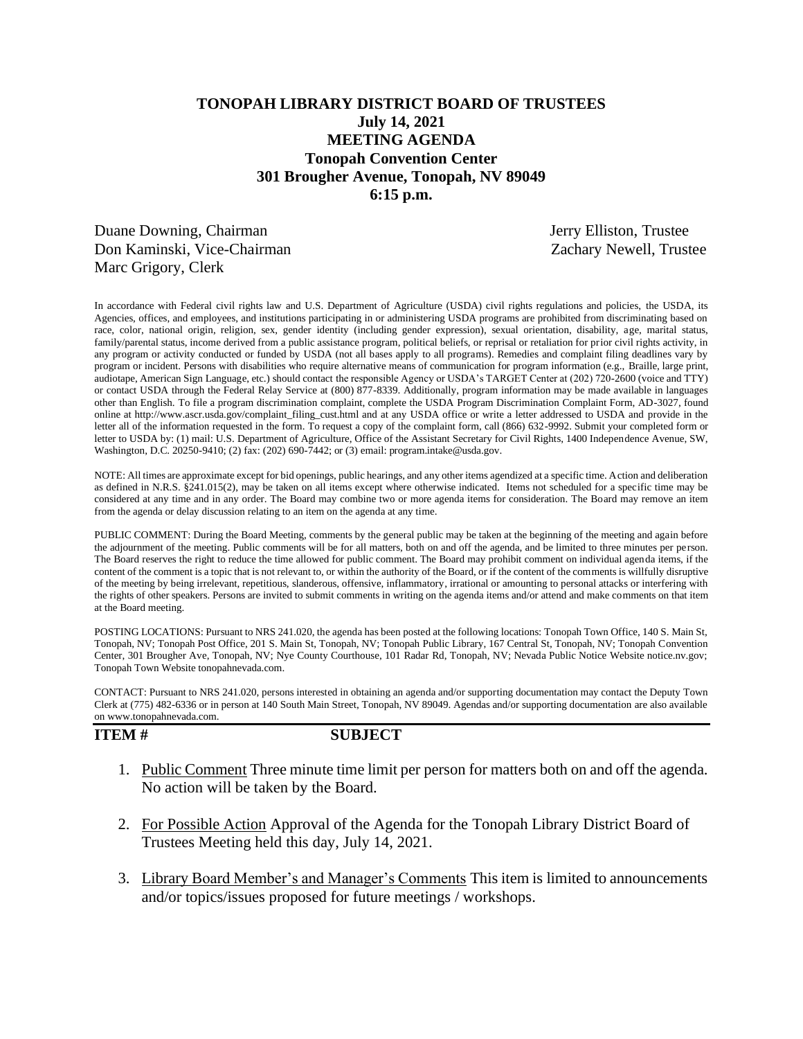# **TONOPAH LIBRARY DISTRICT BOARD OF TRUSTEES July 14, 2021 MEETING AGENDA Tonopah Convention Center 301 Brougher Avenue, Tonopah, NV 89049 6:15 p.m.**

Duane Downing, Chairman Jerry Elliston, Trustee Don Kaminski, Vice-Chairman Zachary Newell, Trustee Marc Grigory, Clerk

In accordance with Federal civil rights law and U.S. Department of Agriculture (USDA) civil rights regulations and policies, the USDA, its Agencies, offices, and employees, and institutions participating in or administering USDA programs are prohibited from discriminating based on race, color, national origin, religion, sex, gender identity (including gender expression), sexual orientation, disability, age, marital status, family/parental status, income derived from a public assistance program, political beliefs, or reprisal or retaliation for prior civil rights activity, in any program or activity conducted or funded by USDA (not all bases apply to all programs). Remedies and complaint filing deadlines vary by program or incident. Persons with disabilities who require alternative means of communication for program information (e.g., Braille, large print, audiotape, American Sign Language, etc.) should contact the responsible Agency or USDA's TARGET Center at (202) 720-2600 (voice and TTY) or contact USDA through the Federal Relay Service at (800) 877-8339. Additionally, program information may be made available in languages other than English. To file a program discrimination complaint, complete the USDA Program Discrimination Complaint Form, AD-3027, found online at http://www.ascr.usda.gov/complaint\_filing\_cust.html and at any USDA office or write a letter addressed to USDA and provide in the letter all of the information requested in the form. To request a copy of the complaint form, call (866) 632-9992. Submit your completed form or letter to USDA by: (1) mail: U.S. Department of Agriculture, Office of the Assistant Secretary for Civil Rights, 1400 Independence Avenue, SW, Washington, D.C. 20250-9410; (2) fax: (202) 690-7442; or (3) email: program.intake@usda.gov.

NOTE: All times are approximate except for bid openings, public hearings, and any other items agendized at a specific time. Action and deliberation as defined in N.R.S. §241.015(2), may be taken on all items except where otherwise indicated. Items not scheduled for a specific time may be considered at any time and in any order. The Board may combine two or more agenda items for consideration. The Board may remove an item from the agenda or delay discussion relating to an item on the agenda at any time.

PUBLIC COMMENT: During the Board Meeting, comments by the general public may be taken at the beginning of the meeting and again before the adjournment of the meeting. Public comments will be for all matters, both on and off the agenda, and be limited to three minutes per person. The Board reserves the right to reduce the time allowed for public comment. The Board may prohibit comment on individual agenda items, if the content of the comment is a topic that is not relevant to, or within the authority of the Board, or if the content of the comments is willfully disruptive of the meeting by being irrelevant, repetitious, slanderous, offensive, inflammatory, irrational or amounting to personal attacks or interfering with the rights of other speakers. Persons are invited to submit comments in writing on the agenda items and/or attend and make comments on that item at the Board meeting.

POSTING LOCATIONS: Pursuant to NRS 241.020, the agenda has been posted at the following locations: Tonopah Town Office, 140 S. Main St, Tonopah, NV; Tonopah Post Office, 201 S. Main St, Tonopah, NV; Tonopah Public Library, 167 Central St, Tonopah, NV; Tonopah Convention Center, 301 Brougher Ave, Tonopah, NV; Nye County Courthouse, 101 Radar Rd, Tonopah, NV; Nevada Public Notice Website notice.nv.gov; Tonopah Town Website tonopahnevada.com.

CONTACT: Pursuant to NRS 241.020, persons interested in obtaining an agenda and/or supporting documentation may contact the Deputy Town Clerk at (775) 482-6336 or in person at 140 South Main Street, Tonopah, NV 89049. Agendas and/or supporting documentation are also available on www.tonopahnevada.com.

**ITEM # SUBJECT**

- 1. Public Comment Three minute time limit per person for matters both on and off the agenda. No action will be taken by the Board.
- 2. For Possible Action Approval of the Agenda for the Tonopah Library District Board of Trustees Meeting held this day, July 14, 2021.
- 3. Library Board Member's and Manager's Comments This item is limited to announcements and/or topics/issues proposed for future meetings / workshops.